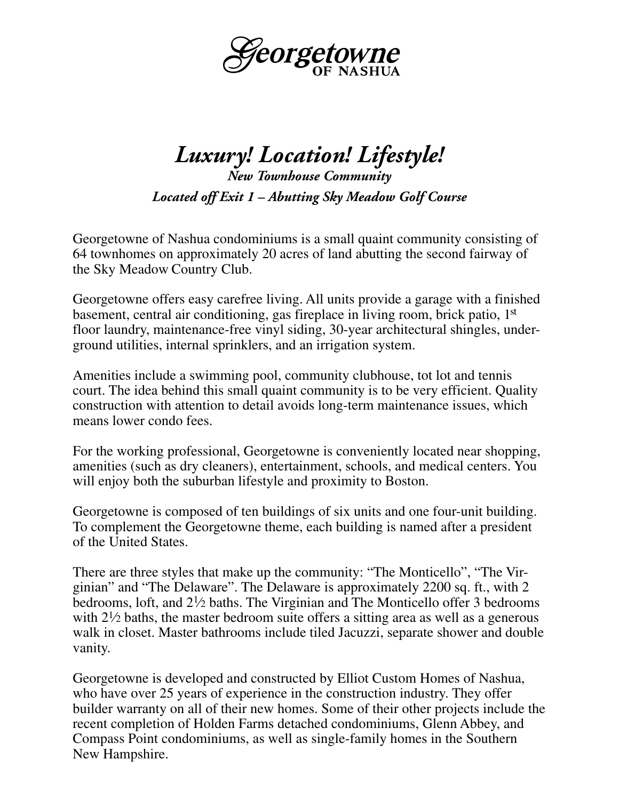

## *Luxury! Location! Lifestyle! New Townhouse Community*

*Located off Exit 1 – Abutting Sky Meadow Golf Course*

Georgetowne of Nashua condominiums is a small quaint community consisting of 64 townhomes on approximately 20 acres of land abutting the second fairway of the Sky Meadow Country Club.

Georgetowne offers easy carefree living. All units provide a garage with a finished basement, central air conditioning, gas fireplace in living room, brick patio, 1st floor laundry, maintenance-free vinyl siding, 30-year architectural shingles, underground utilities, internal sprinklers, and an irrigation system.

Amenities include a swimming pool, community clubhouse, tot lot and tennis court. The idea behind this small quaint community is to be very efficient. Quality construction with attention to detail avoids long-term maintenance issues, which means lower condo fees.

For the working professional, Georgetowne is conveniently located near shopping, amenities (such as dry cleaners), entertainment, schools, and medical centers. You will enjoy both the suburban lifestyle and proximity to Boston.

Georgetowne is composed of ten buildings of six units and one four-unit building. To complement the Georgetowne theme, each building is named after a president of the United States.

There are three styles that make up the community: "The Monticello", "The Virginian" and "The Delaware". The Delaware is approximately 2200 sq. ft., with 2 bedrooms, loft, and  $2\frac{1}{2}$  baths. The Virginian and The Monticello offer 3 bedrooms with  $2\frac{1}{2}$  baths, the master bedroom suite offers a sitting area as well as a generous walk in closet. Master bathrooms include tiled Jacuzzi, separate shower and double vanity.

Georgetowne is developed and constructed by Elliot Custom Homes of Nashua, who have over 25 years of experience in the construction industry. They offer builder warranty on all of their new homes. Some of their other projects include the recent completion of Holden Farms detached condominiums, Glenn Abbey, and Compass Point condominiums, as well as single-family homes in the Southern New Hampshire.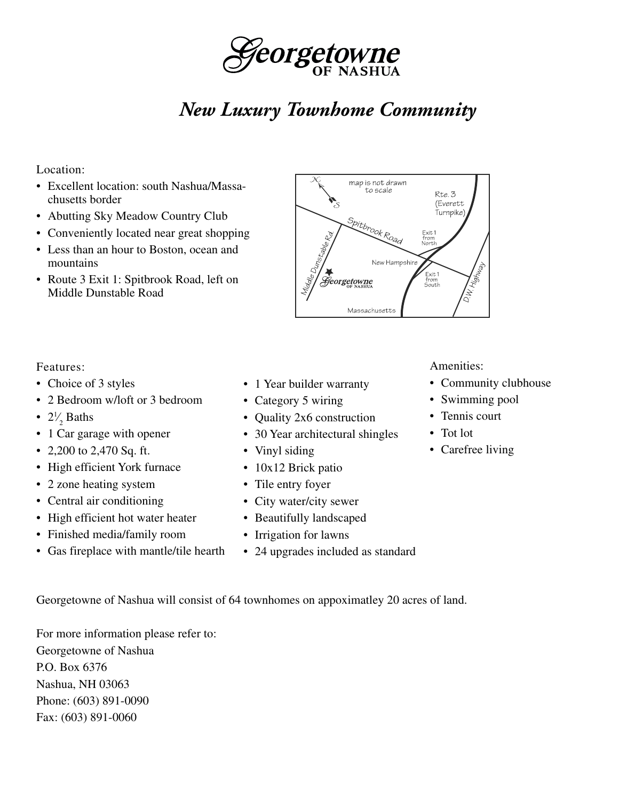

# *New Luxury Townhome Community*

#### Location:

- Excellent location: south Nashua/Massachusetts border
- Abutting Sky Meadow Country Club
- Conveniently located near great shopping
- Less than an hour to Boston, ocean and mountains
- Route 3 Exit 1: Spitbrook Road, left on Middle Dunstable Road



#### Features:

- Choice of 3 styles
- 2 Bedroom w/loft or 3 bedroom
- $2\frac{1}{2}$  Baths ⁄
- 1 Car garage with opener
- 2,200 to 2,470 Sq. ft.
- High efficient York furnace
- 2 zone heating system
- Central air conditioning
- High efficient hot water heater
- Finished media/family room
- Gas fireplace with mantle/tile hearth
- 1 Year builder warranty
- Category 5 wiring
- Quality 2x6 construction
- 30 Year architectural shingles
- Vinyl siding
- 10x12 Brick patio
- Tile entry foyer
- City water/city sewer
- Beautifully landscaped
- Irrigation for lawns
- 24 upgrades included as standard

Amenities:

- Community clubhouse
- Swimming pool
- Tennis court
- Tot lot
- Carefree living

Georgetowne of Nashua will consist of 64 townhomes on appoximatley 20 acres of land.

For more information please refer to: Georgetowne of Nashua P.O. Box 6376 Nashua, NH 03063 Phone: (603) 891-0090 Fax: (603) 891-0060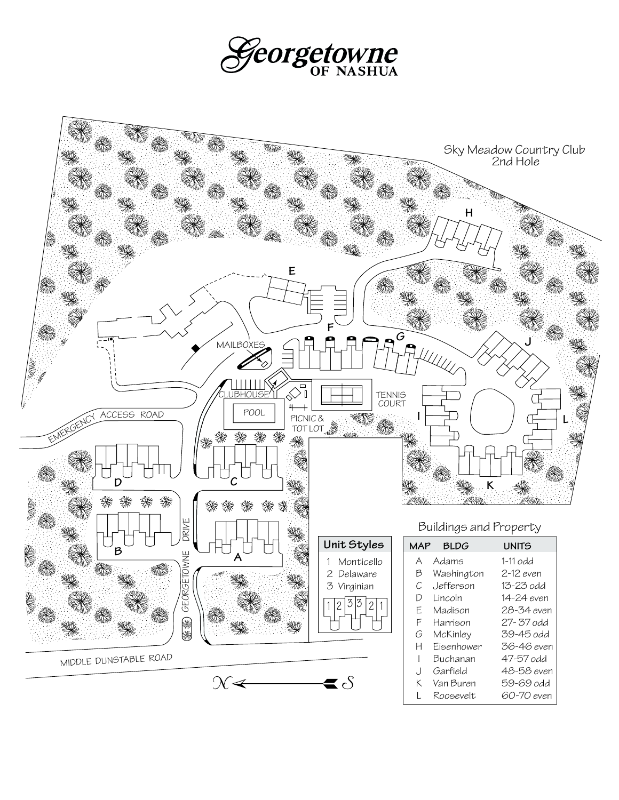

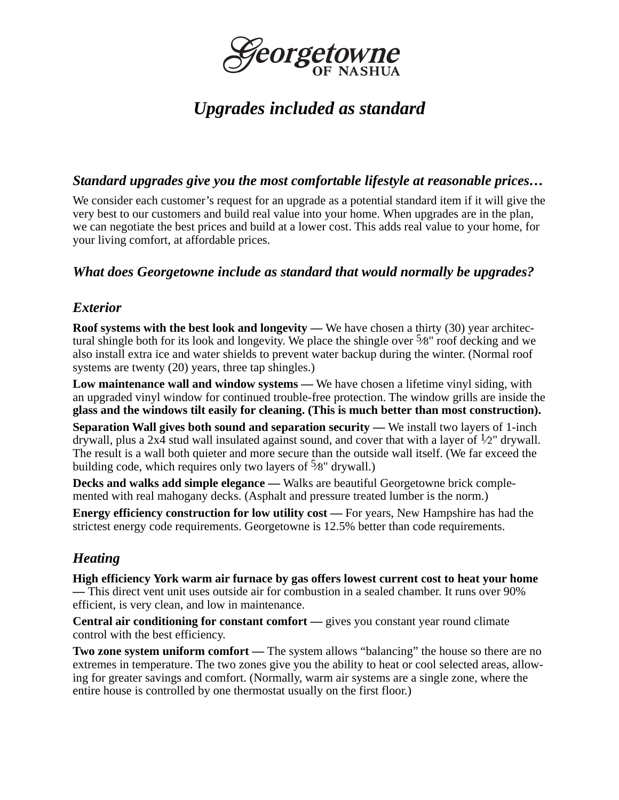

## *Upgrades included as standard*

#### *Standard upgrades give you the most comfortable lifestyle at reasonable prices…*

We consider each customer's request for an upgrade as a potential standard item if it will give the very best to our customers and build real value into your home. When upgrades are in the plan, we can negotiate the best prices and build at a lower cost. This adds real value to your home, for your living comfort, at affordable prices.

#### *What does Georgetowne include as standard that would normally be upgrades?*

#### *Exterior*

**Roof systems with the best look and longevity — We have chosen a thirty (30) year architec**tural shingle both for its look and longevity. We place the shingle over  $\frac{5}{8}$ " roof decking and we also install extra ice and water shields to prevent water backup during the winter. (Normal roof systems are twenty (20) years, three tap shingles.)

**Low maintenance wall and window systems —** We have chosen a lifetime vinyl siding, with an upgraded vinyl window for continued trouble-free protection. The window grills are inside the **glass and the windows tilt easily for cleaning. (This is much better than most construction).**

**Separation Wall gives both sound and separation security — We install two layers of 1-inch** drywall, plus a 2x4 stud wall insulated against sound, and cover that with a layer of  $\frac{1}{2}$ " drywall. The result is a wall both quieter and more secure than the outside wall itself. (We far exceed the building code, which requires only two layers of  $\frac{5}{8}$ " drywall.)

**Decks and walks add simple elegance —** Walks are beautiful Georgetowne brick complemented with real mahogany decks. (Asphalt and pressure treated lumber is the norm.)

**Energy efficiency construction for low utility cost** — For years, New Hampshire has had the strictest energy code requirements. Georgetowne is 12.5% better than code requirements.

### *Heating*

**High efficiency York warm air furnace by gas offers lowest current cost to heat your home —** This direct vent unit uses outside air for combustion in a sealed chamber. It runs over 90% efficient, is very clean, and low in maintenance.

**Central air conditioning for constant comfort** — gives you constant year round climate control with the best efficiency.

**Two zone system uniform comfort** — The system allows "balancing" the house so there are no extremes in temperature. The two zones give you the ability to heat or cool selected areas, allowing for greater savings and comfort. (Normally, warm air systems are a single zone, where the entire house is controlled by one thermostat usually on the first floor.)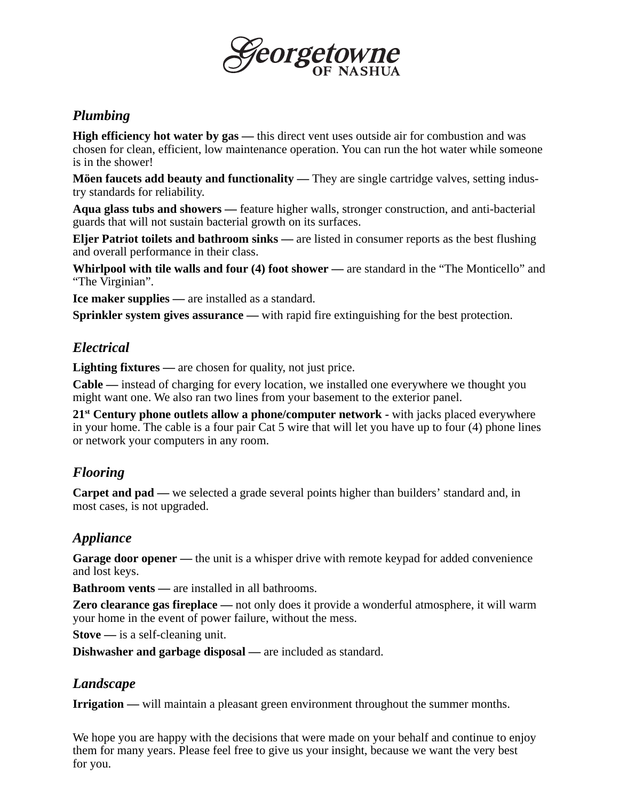

### *Plumbing*

**High efficiency hot water by gas** — this direct vent uses outside air for combustion and was chosen for clean, efficient, low maintenance operation. You can run the hot water while someone is in the shower!

**Möen faucets add beauty and functionality** — They are single cartridge valves, setting industry standards for reliability.

**Aqua glass tubs and showers —** feature higher walls, stronger construction, and anti-bacterial guards that will not sustain bacterial growth on its surfaces.

**Eljer Patriot toilets and bathroom sinks —** are listed in consumer reports as the best flushing and overall performance in their class.

**Whirlpool with tile walls and four (4) foot shower —** are standard in the "The Monticello" and "The Virginian".

**Ice maker supplies —** are installed as a standard.

**Sprinkler system gives assurance —** with rapid fire extinguishing for the best protection.

#### *Electrical*

**Lighting fixtures** — are chosen for quality, not just price.

**Cable —** instead of charging for every location, we installed one everywhere we thought you might want one. We also ran two lines from your basement to the exterior panel.

21<sup>st</sup> Century phone outlets allow a phone/computer network - with jacks placed everywhere in your home. The cable is a four pair Cat 5 wire that will let you have up to four (4) phone lines or network your computers in any room.

### *Flooring*

**Carpet and pad** — we selected a grade several points higher than builders' standard and, in most cases, is not upgraded.

### *Appliance*

Garage door opener — the unit is a whisper drive with remote keypad for added convenience and lost keys.

**Bathroom vents —** are installed in all bathrooms.

**Zero clearance gas fireplace —** not only does it provide a wonderful atmosphere, it will warm your home in the event of power failure, without the mess.

**Stove —** is a self-cleaning unit.

**Dishwasher and garbage disposal —** are included as standard.

#### *Landscape*

**Irrigation** — will maintain a pleasant green environment throughout the summer months.

We hope you are happy with the decisions that were made on your behalf and continue to enjoy them for many years. Please feel free to give us your insight, because we want the very best for you.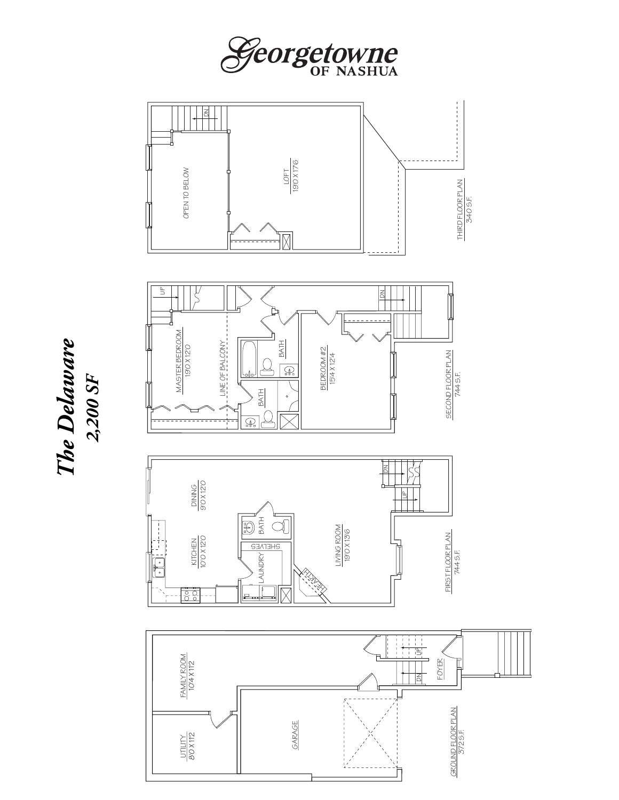









*The Delaware 2,200 SF*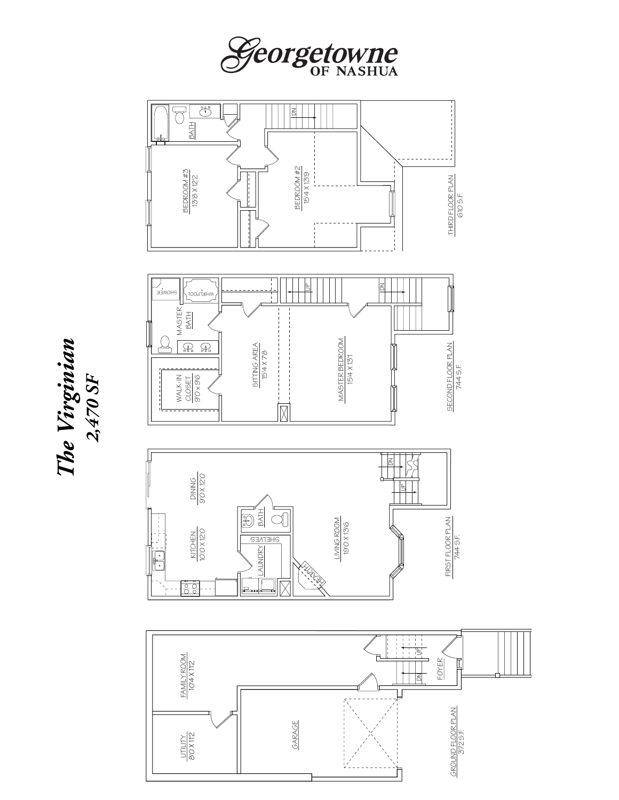





*The Virginian 2,470 SF*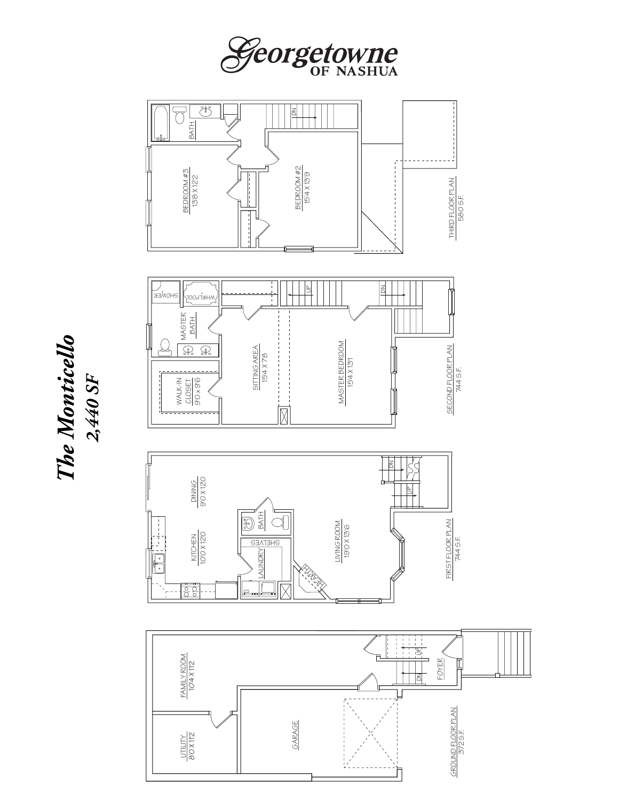



*The Monticello 2,440 SF*